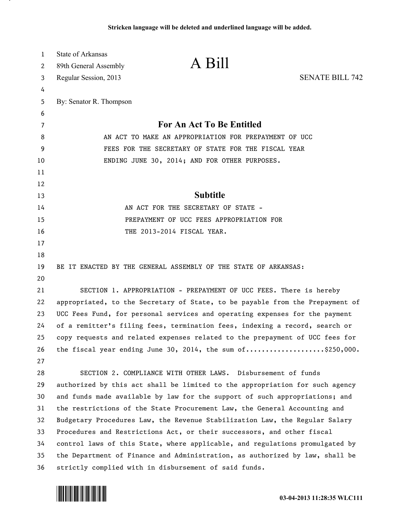| 1  | <b>State of Arkansas</b>                                                      |                                                                              |                        |
|----|-------------------------------------------------------------------------------|------------------------------------------------------------------------------|------------------------|
| 2  | 89th General Assembly                                                         | A Bill                                                                       |                        |
| 3  | Regular Session, 2013                                                         |                                                                              | <b>SENATE BILL 742</b> |
| 4  |                                                                               |                                                                              |                        |
| 5  | By: Senator R. Thompson                                                       |                                                                              |                        |
| 6  |                                                                               |                                                                              |                        |
| 7  |                                                                               | For An Act To Be Entitled                                                    |                        |
| 8  |                                                                               | AN ACT TO MAKE AN APPROPRIATION FOR PREPAYMENT OF UCC                        |                        |
| 9  |                                                                               | FEES FOR THE SECRETARY OF STATE FOR THE FISCAL YEAR                          |                        |
| 10 |                                                                               | ENDING JUNE 30, 2014; AND FOR OTHER PURPOSES.                                |                        |
| 11 |                                                                               |                                                                              |                        |
| 12 |                                                                               |                                                                              |                        |
| 13 |                                                                               | <b>Subtitle</b>                                                              |                        |
| 14 |                                                                               | AN ACT FOR THE SECRETARY OF STATE -                                          |                        |
| 15 |                                                                               | PREPAYMENT OF UCC FEES APPROPRIATION FOR                                     |                        |
| 16 |                                                                               | THE 2013-2014 FISCAL YEAR.                                                   |                        |
| 17 |                                                                               |                                                                              |                        |
| 18 |                                                                               |                                                                              |                        |
| 19 |                                                                               | BE IT ENACTED BY THE GENERAL ASSEMBLY OF THE STATE OF ARKANSAS:              |                        |
| 20 |                                                                               |                                                                              |                        |
| 21 |                                                                               | SECTION 1. APPROPRIATION - PREPAYMENT OF UCC FEES. There is hereby           |                        |
| 22 | appropriated, to the Secretary of State, to be payable from the Prepayment of |                                                                              |                        |
| 23 | UCC Fees Fund, for personal services and operating expenses for the payment   |                                                                              |                        |
| 24 | of a remitter's filing fees, termination fees, indexing a record, search or   |                                                                              |                        |
| 25 |                                                                               | copy requests and related expenses related to the prepayment of UCC fees for |                        |
| 26 |                                                                               | the fiscal year ending June 30, 2014, the sum of\$250,000.                   |                        |
| 27 |                                                                               |                                                                              |                        |
| 28 |                                                                               | SECTION 2. COMPLIANCE WITH OTHER LAWS. Disbursement of funds                 |                        |
| 29 |                                                                               | authorized by this act shall be limited to the appropriation for such agency |                        |
| 30 |                                                                               | and funds made available by law for the support of such appropriations; and  |                        |
| 31 |                                                                               | the restrictions of the State Procurement Law, the General Accounting and    |                        |
| 32 |                                                                               | Budgetary Procedures Law, the Revenue Stabilization Law, the Regular Salary  |                        |
| 33 |                                                                               | Procedures and Restrictions Act, or their successors, and other fiscal       |                        |
| 34 | control laws of this State, where applicable, and regulations promulgated by  |                                                                              |                        |
| 35 | the Department of Finance and Administration, as authorized by law, shall be  |                                                                              |                        |
| 36 | strictly complied with in disbursement of said funds.                         |                                                                              |                        |



л.